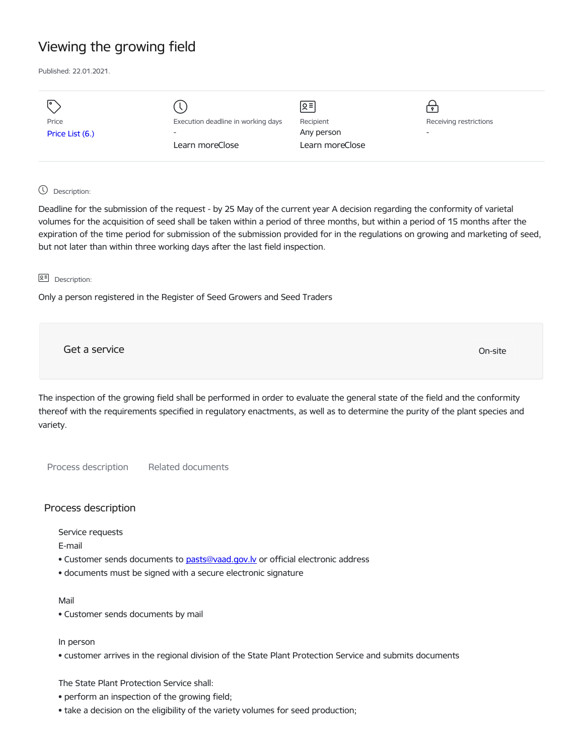# Viewing the growing field

Published: 22.01.2021.

| I۰              |                                    | Զ≡              | Ŷ                      |
|-----------------|------------------------------------|-----------------|------------------------|
| Price           | Execution deadline in working days | Recipient       | Receiving restrictions |
| Price List (6.) | $\overline{\phantom{0}}$           | Any person      | -                      |
|                 | Learn moreClose                    | Learn moreClose |                        |
|                 |                                    |                 |                        |

# Description:

Deadline for the submission of the request - by 25 May of the current year A decision regarding the conformity of varietal volumes for the acquisition of seed shall be taken within a period of three months, but within a period of 15 months after the expiration of the time period for submission of the submission provided for in the regulations on growing and marketing of seed, but not later than within three working days after the last field inspection.

### **오** Description:

Only a person registered in the Register of Seed Growers and Seed Traders

Get a service only a service of the contract of the contract of the contract of the contract of the contract of the contract of the contract of the contract of the contract of the contract of the contract of the contract o

The inspection of the growing field shall be performed in order to evaluate the general state of the field and the conformity thereof with the requirements specified in regulatory enactments, as well as to determine the purity of the plant species and variety.

Process description Related documents

# Process description

Service requests

E-mail

- Customer sends documents to pasts@vaad.gov.ly or official electronic address
- documents must be signed with a secure electronic signature

#### Mail

• Customer sends documents by mail

#### In person

• customer arrives in the regional division of the State Plant Protection Service and submits documents

The State Plant Protection Service shall:

- perform an inspection of the growing field;
- take a decision on the eligibility of the variety volumes for seed production;